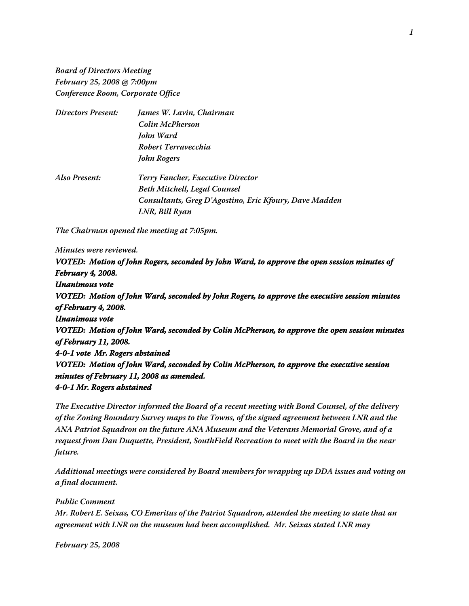**Board of Directors Meeting February 25, 2008 @ 7:00pm Conference Room, Corporate Office**

| <b>Directors Present:</b> | James W. Lavin, Chairman                               |
|---------------------------|--------------------------------------------------------|
|                           | Colin McPherson                                        |
|                           | John Ward                                              |
|                           | Robert Terravecchia                                    |
|                           | John Rogers                                            |
| Also Present:             | <b>Terry Fancher, Executive Director</b>               |
|                           | <b>Beth Mitchell, Legal Counsel</b>                    |
|                           | Consultants, Greg D'Agostino, Eric Kfoury, Dave Madden |
|                           | LNR, Bill Ryan                                         |

**The Chairman opened the meeting at 7:05pm.**

**Minutes were reviewed.**

**VOTED: Motion of John Rogers, seconded by John Ward, to approve the open session minutes of February 4, 2008. Unanimous vote VOTED: Motion of John Ward, seconded by John Rogers, to approve the executive session minutes of February 4, 2008. Unanimous vote VOTED: Motion of John Ward, seconded by Colin McPherson, to approve the open session minutes of February 11, 2008. 4-0-1 vote Mr. Rogers abstained VOTED: Motion of John Ward, seconded by Colin McPherson, to approve the executive session minutes of February 11, 2008 as amended. 4-0-1 Mr. Rogers abstained**

**The Executive Director informed the Board of a recent meeting with Bond Counsel, of the delivery of the Zoning Boundary Survey maps to the Towns, of the signed agreement between LNR and the ANA Patriot Squadron on the future ANA Museum and the Veterans Memorial Grove, and of a request from Dan Duquette, President, SouthField Recreation to meet with the Board in the near future.**

**Additional meetings were considered by Board members for wrapping up DDA issues and voting on a final document.** 

**Public Comment**

**Mr. Robert E. Seixas, CO Emeritus of the Patriot Squadron, attended the meeting to state that an agreement with LNR on the museum had been accomplished. Mr. Seixas stated LNR may**

**February 25, 2008**